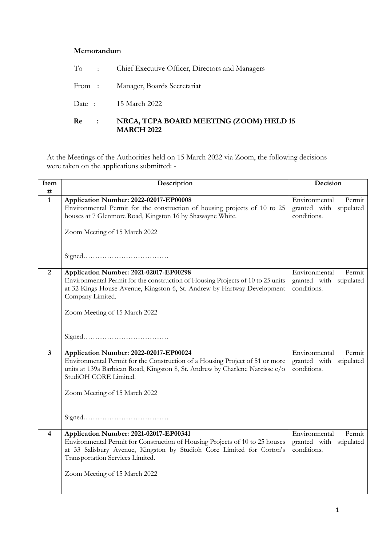## **Memorandum**

| Re<br>$\sim 100$ | NRCA, TCPA BOARD MEETING (ZOOM) HELD 15<br><b>MARCH 2022</b> |
|------------------|--------------------------------------------------------------|
|                  | Date: 15 March 2022                                          |
|                  | From: Manager, Boards Secretariat                            |
|                  | To : Chief Executive Officer, Directors and Managers         |

At the Meetings of the Authorities held on 15 March 2022 via Zoom, the following decisions were taken on the applications submitted: -

| Item<br>#      | Description                                                                                                                                                                                                                                                          | Decision                                                             |
|----------------|----------------------------------------------------------------------------------------------------------------------------------------------------------------------------------------------------------------------------------------------------------------------|----------------------------------------------------------------------|
| $\mathbf{1}$   | Application Number: 2022-02017-EP00008<br>Environmental Permit for the construction of housing projects of 10 to 25<br>houses at 7 Glenmore Road, Kingston 16 by Shawayne White.<br>Zoom Meeting of 15 March 2022                                                    | Environmental<br>Permit<br>granted with<br>stipulated<br>conditions. |
|                |                                                                                                                                                                                                                                                                      |                                                                      |
| $\overline{2}$ | Application Number: 2021-02017-EP00298<br>Environmental Permit for the construction of Housing Projects of 10 to 25 units<br>at 32 Kings House Avenue, Kingston 6, St. Andrew by Hartway Development<br>Company Limited.<br>Zoom Meeting of 15 March 2022            | Environmental<br>Permit<br>granted with<br>stipulated<br>conditions. |
| $\overline{3}$ | Application Number: 2022-02017-EP00024                                                                                                                                                                                                                               | Environmental<br>Permit                                              |
|                | Environmental Permit for the Construction of a Housing Project of 51 or more<br>units at 139a Barbican Road, Kingston 8, St. Andrew by Charlene Narcisse c/o<br>StudiOH CORE Limited.<br>Zoom Meeting of 15 March 2022                                               | granted with stipulated<br>conditions.                               |
| $\overline{4}$ | Application Number: 2021-02017-EP00341<br>Environmental Permit for Construction of Housing Projects of 10 to 25 houses<br>at 33 Salisbury Avenue, Kingston by Studioh Core Limited for Corton's<br>Transportation Services Limited.<br>Zoom Meeting of 15 March 2022 | Environmental<br>Permit<br>granted with stipulated<br>conditions.    |
|                |                                                                                                                                                                                                                                                                      |                                                                      |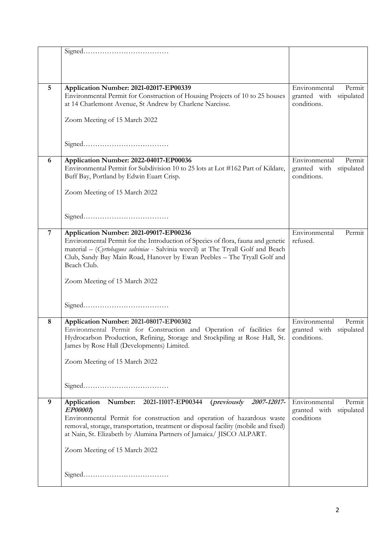| 5              | Application Number: 2021-02017-EP00339                                                                                                                                | Environmental<br>Permit    |
|----------------|-----------------------------------------------------------------------------------------------------------------------------------------------------------------------|----------------------------|
|                | Environmental Permit for Construction of Housing Projects of 10 to 25 houses                                                                                          | granted with stipulated    |
|                | at 14 Charlemont Avenue, St Andrew by Charlene Narcisse.                                                                                                              | conditions.                |
|                |                                                                                                                                                                       |                            |
|                | Zoom Meeting of 15 March 2022                                                                                                                                         |                            |
|                |                                                                                                                                                                       |                            |
|                |                                                                                                                                                                       |                            |
|                |                                                                                                                                                                       |                            |
|                |                                                                                                                                                                       |                            |
| 6              | Application Number: 2022-04017-EP00036                                                                                                                                | Environmental<br>Permit    |
|                | Environmental Permit for Subdivision 10 to 25 lots at Lot #162 Part of Kildare,                                                                                       | granted with stipulated    |
|                | Buff Bay, Portland by Edwin Euart Crisp.                                                                                                                              | conditions.                |
|                |                                                                                                                                                                       |                            |
|                | Zoom Meeting of 15 March 2022                                                                                                                                         |                            |
|                |                                                                                                                                                                       |                            |
|                |                                                                                                                                                                       |                            |
|                |                                                                                                                                                                       |                            |
| $\overline{7}$ | Application Number: 2021-09017-EP00236                                                                                                                                | Environmental<br>Permit    |
|                |                                                                                                                                                                       | refused.                   |
|                | Environmental Permit for the Introduction of Species of flora, fauna and genetic<br>material - (Cyrtobaguos salviniae - Salvinia weevil) at The Tryall Golf and Beach |                            |
|                | Club, Sandy Bay Main Road, Hanover by Ewan Peebles - The Tryall Golf and                                                                                              |                            |
|                | Beach Club.                                                                                                                                                           |                            |
|                |                                                                                                                                                                       |                            |
|                | Zoom Meeting of 15 March 2022                                                                                                                                         |                            |
|                |                                                                                                                                                                       |                            |
|                |                                                                                                                                                                       |                            |
|                |                                                                                                                                                                       |                            |
|                |                                                                                                                                                                       |                            |
| 8              | Application Number: 2021-08017-EP00302                                                                                                                                | Environmental<br>Permit    |
|                | Environmental Permit for Construction and Operation of facilities for                                                                                                 | granted with stipulated    |
|                | Hydrocarbon Production, Refining, Storage and Stockpiling at Rose Hall, St.                                                                                           | conditions.                |
|                | James by Rose Hall (Developments) Limited.                                                                                                                            |                            |
|                |                                                                                                                                                                       |                            |
|                | Zoom Meeting of 15 March 2022                                                                                                                                         |                            |
|                |                                                                                                                                                                       |                            |
|                |                                                                                                                                                                       |                            |
|                |                                                                                                                                                                       |                            |
|                |                                                                                                                                                                       |                            |
| 9              | <i>(previously</i><br>Application Number:<br>2021-11017-EP00344<br>2007-12017-                                                                                        | Environmental<br>Permit    |
|                | EP00001                                                                                                                                                               | granted with<br>stipulated |
|                | Environmental Permit for construction and operation of hazardous waste                                                                                                | conditions                 |
|                | removal, storage, transportation, treatment or disposal facility (mobile and fixed)                                                                                   |                            |
|                | at Nain, St. Elizabeth by Alumina Partners of Jamaica/ JISCO ALPART.                                                                                                  |                            |
|                |                                                                                                                                                                       |                            |
|                | Zoom Meeting of 15 March 2022                                                                                                                                         |                            |
|                |                                                                                                                                                                       |                            |
|                |                                                                                                                                                                       |                            |
|                | ${\bf Signal.}\label{prop:1}$                                                                                                                                         |                            |
|                |                                                                                                                                                                       |                            |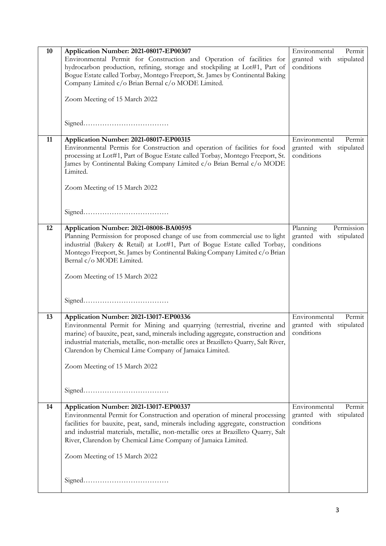| 10 | Application Number: 2021-08017-EP00307                                              | Environmental<br>Permit    |
|----|-------------------------------------------------------------------------------------|----------------------------|
|    | Environmental Permit for Construction and Operation of facilities for               | granted with stipulated    |
|    | hydrocarbon production, refining, storage and stockpiling at Lot#1, Part of         | conditions                 |
|    | Bogue Estate called Torbay, Montego Freeport, St. James by Continental Baking       |                            |
|    | Company Limited c/o Brian Bernal c/o MODE Limited.                                  |                            |
|    |                                                                                     |                            |
|    |                                                                                     |                            |
|    | Zoom Meeting of 15 March 2022                                                       |                            |
|    |                                                                                     |                            |
|    |                                                                                     |                            |
|    |                                                                                     |                            |
|    |                                                                                     |                            |
| 11 | Application Number: 2021-08017-EP00315                                              | Environmental<br>Permit    |
|    | Environmental Permis for Construction and operation of facilities for food          | granted with<br>stipulated |
|    | processing at Lot#1, Part of Bogue Estate called Torbay, Montego Freeport, St.      | conditions                 |
|    | James by Continental Baking Company Limited c/o Brian Bernal c/o MODE               |                            |
|    | Limited.                                                                            |                            |
|    |                                                                                     |                            |
|    | Zoom Meeting of 15 March 2022                                                       |                            |
|    |                                                                                     |                            |
|    |                                                                                     |                            |
|    |                                                                                     |                            |
|    |                                                                                     |                            |
|    |                                                                                     |                            |
| 12 | Application Number: 2021-08008-BA00595                                              | Planning<br>Permission     |
|    | Planning Permission for proposed change of use from commercial use to light         | granted with stipulated    |
|    | industrial (Bakery & Retail) at Lot#1, Part of Bogue Estate called Torbay,          | conditions                 |
|    | Montego Freeport, St. James by Continental Baking Company Limited c/o Brian         |                            |
|    | Bernal c/o MODE Limited.                                                            |                            |
|    |                                                                                     |                            |
|    | Zoom Meeting of 15 March 2022                                                       |                            |
|    |                                                                                     |                            |
|    |                                                                                     |                            |
|    |                                                                                     |                            |
|    |                                                                                     |                            |
| 13 | Application Number: 2021-13017-EP00336                                              | Environmental<br>Permit    |
|    | Environmental Permit for Mining and quarrying (terrestrial, riverine and            | granted with stipulated    |
|    | marine) of bauxite, peat, sand, minerals including aggregate, construction and      | conditions                 |
|    | industrial materials, metallic, non-metallic ores at Brazilleto Quarry, Salt River, |                            |
|    |                                                                                     |                            |
|    | Clarendon by Chemical Lime Company of Jamaica Limited.                              |                            |
|    |                                                                                     |                            |
|    | Zoom Meeting of 15 March 2022                                                       |                            |
|    |                                                                                     |                            |
|    |                                                                                     |                            |
|    |                                                                                     |                            |
|    |                                                                                     |                            |
| 14 | Application Number: 2021-13017-EP00337                                              | Environmental<br>Permit    |
|    | Environmental Permit for Construction and operation of mineral processing           | granted with<br>stipulated |
|    | facilities for bauxite, peat, sand, minerals including aggregate, construction      | conditions                 |
|    | and industrial materials, metallic, non-metallic ores at Brazilleto Quarry, Salt    |                            |
|    | River, Clarendon by Chemical Lime Company of Jamaica Limited.                       |                            |
|    |                                                                                     |                            |
|    | Zoom Meeting of 15 March 2022                                                       |                            |
|    |                                                                                     |                            |
|    |                                                                                     |                            |
|    |                                                                                     |                            |
|    |                                                                                     |                            |
|    |                                                                                     |                            |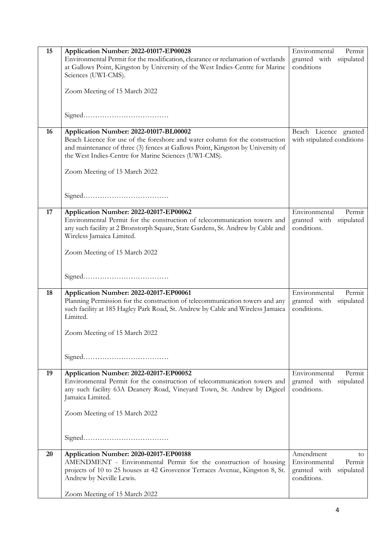| 15 | Application Number: 2022-01017-EP00028                                                                                 | Environmental<br>Permit                             |
|----|------------------------------------------------------------------------------------------------------------------------|-----------------------------------------------------|
|    | Environmental Permit for the modification, clearance or reclamation of wetlands                                        | granted with<br>stipulated                          |
|    | at Gallows Point, Kingston by University of the West Indies-Centre for Marine                                          | conditions                                          |
|    | Sciences (UWI-CMS).                                                                                                    |                                                     |
|    |                                                                                                                        |                                                     |
|    | Zoom Meeting of 15 March 2022                                                                                          |                                                     |
|    |                                                                                                                        |                                                     |
|    |                                                                                                                        |                                                     |
|    |                                                                                                                        |                                                     |
| 16 |                                                                                                                        |                                                     |
|    | Application Number: 2022-01017-BL00002<br>Beach Licence for use of the foreshore and water column for the construction | Beach Licence granted<br>with stipulated conditions |
|    | and maintenance of three (3) fences at Gallows Point, Kingston by University of                                        |                                                     |
|    | the West Indies-Centre for Marine Sciences (UWI-CMS).                                                                  |                                                     |
|    |                                                                                                                        |                                                     |
|    | Zoom Meeting of 15 March 2022                                                                                          |                                                     |
|    |                                                                                                                        |                                                     |
|    |                                                                                                                        |                                                     |
|    |                                                                                                                        |                                                     |
|    |                                                                                                                        |                                                     |
| 17 | Application Number: 2022-02017-EP00062                                                                                 | Environmental<br>Permit                             |
|    | Environmental Permit for the construction of telecommunication towers and                                              | granted with<br>stipulated                          |
|    | any such facility at 2 Bronstorph Square, State Gardens, St. Andrew by Cable and                                       | conditions.                                         |
|    | Wireless Jamaica Limited.                                                                                              |                                                     |
|    |                                                                                                                        |                                                     |
|    | Zoom Meeting of 15 March 2022                                                                                          |                                                     |
|    |                                                                                                                        |                                                     |
|    |                                                                                                                        |                                                     |
|    |                                                                                                                        |                                                     |
| 18 | Application Number: 2022-02017-EP00061                                                                                 | Environmental<br>Permit                             |
|    | Planning Permission for the construction of telecommunication towers and any                                           | granted with stipulated                             |
|    | such facility at 185 Hagley Park Road, St. Andrew by Cable and Wireless Jamaica                                        | conditions.                                         |
|    | Limited.                                                                                                               |                                                     |
|    |                                                                                                                        |                                                     |
|    | Zoom Meeting of 15 March 2022                                                                                          |                                                     |
|    |                                                                                                                        |                                                     |
|    |                                                                                                                        |                                                     |
|    |                                                                                                                        |                                                     |
| 19 | Application Number: 2022-02017-EP00052                                                                                 | Environmental<br>Permit                             |
|    | Environmental Permit for the construction of telecommunication towers and                                              | granted with stipulated                             |
|    | any such facility 63A Deanery Road, Vineyard Town, St. Andrew by Digicel                                               | conditions.                                         |
|    | Jamaica Limited.                                                                                                       |                                                     |
|    |                                                                                                                        |                                                     |
|    | Zoom Meeting of 15 March 2022                                                                                          |                                                     |
|    |                                                                                                                        |                                                     |
|    |                                                                                                                        |                                                     |
|    |                                                                                                                        |                                                     |
|    |                                                                                                                        |                                                     |
| 20 | Application Number: 2020-02017-EP00188                                                                                 | Amendment<br>to.                                    |
|    | AMENDMENT - Environmental Permit for the construction of housing                                                       | Environmental<br>Permit                             |
|    | projects of 10 to 25 houses at 42 Grosvenor Terraces Avenue, Kingston 8, St.                                           | granted with stipulated                             |
|    | Andrew by Neville Lewis.                                                                                               | conditions.                                         |
|    |                                                                                                                        |                                                     |
|    | Zoom Meeting of 15 March 2022                                                                                          |                                                     |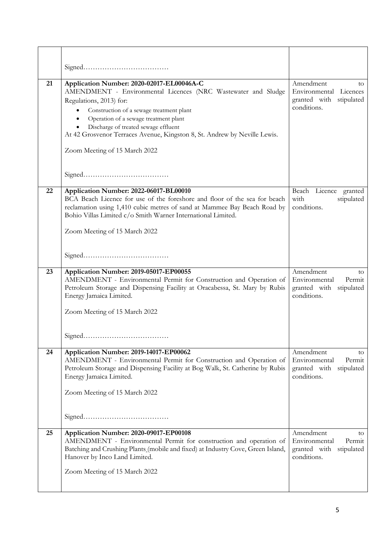| 21 | Application Number: 2020-02017-EL00046A-C<br>AMENDMENT - Environmental Licences (NRC Wastewater and Sludge<br>Regulations, 2013) for:<br>Construction of a sewage treatment plant<br>٠<br>Operation of a sewage treatment plant<br>$\bullet$<br>Discharge of treated sewage effluent<br>$\bullet$<br>At 42 Grosvenor Terraces Avenue, Kingston 8, St. Andrew by Neville Lewis.<br>Zoom Meeting of 15 March 2022 | Amendment<br>to<br>Environmental Licences<br>granted with stipulated<br>conditions.  |
|----|-----------------------------------------------------------------------------------------------------------------------------------------------------------------------------------------------------------------------------------------------------------------------------------------------------------------------------------------------------------------------------------------------------------------|--------------------------------------------------------------------------------------|
|    |                                                                                                                                                                                                                                                                                                                                                                                                                 |                                                                                      |
| 22 | Application Number: 2022-06017-BL00010<br>BCA Beach Licence for use of the foreshore and floor of the sea for beach<br>reclamation using 1,410 cubic metres of sand at Mammee Bay Beach Road by<br>Bohio Villas Limited c/o Smith Warner International Limited.<br>Zoom Meeting of 15 March 2022                                                                                                                | Beach Licence granted<br>with<br>stipulated<br>conditions.                           |
|    |                                                                                                                                                                                                                                                                                                                                                                                                                 |                                                                                      |
| 23 | Application Number: 2019-05017-EP00055                                                                                                                                                                                                                                                                                                                                                                          | Amendment<br>to                                                                      |
|    | AMENDMENT - Environmental Permit for Construction and Operation of<br>Petroleum Storage and Dispensing Facility at Oracabessa, St. Mary by Rubis<br>Energy Jamaica Limited.<br>Zoom Meeting of 15 March 2022                                                                                                                                                                                                    | Environmental<br>Permit<br>granted with stipulated<br>conditions.                    |
|    |                                                                                                                                                                                                                                                                                                                                                                                                                 |                                                                                      |
| 24 | Application Number: 2019-14017-EP00062<br>AMENDMENT - Environmental Permit for Construction and Operation of<br>Petroleum Storage and Dispensing Facility at Bog Walk, St. Catherine by Rubis<br>Energy Jamaica Limited.<br>Zoom Meeting of 15 March 2022                                                                                                                                                       | Amendment<br>to<br>Environmental<br>Permit<br>granted with stipulated<br>conditions. |
|    |                                                                                                                                                                                                                                                                                                                                                                                                                 |                                                                                      |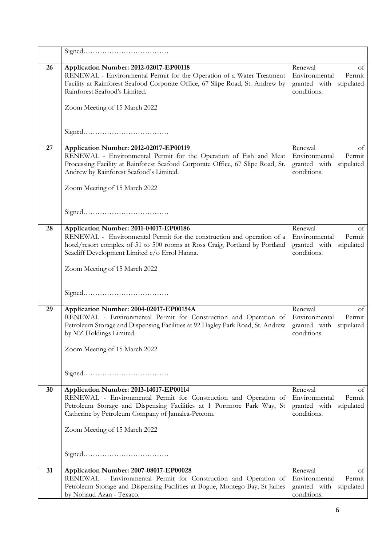| 26 | Application Number: 2012-02017-EP00118<br>RENEWAL - Environmental Permit for the Operation of a Water Treatment<br>Facility at Rainforest Seafood Corporate Office, 67 Slipe Road, St. Andrew by<br>Rainforest Seafood's Limited.<br>Zoom Meeting of 15 March 2022                | Renewal<br>οt<br>Environmental<br>Permit<br>granted with stipulated<br>conditions.    |
|----|-----------------------------------------------------------------------------------------------------------------------------------------------------------------------------------------------------------------------------------------------------------------------------------|---------------------------------------------------------------------------------------|
|    |                                                                                                                                                                                                                                                                                   |                                                                                       |
| 27 | Application Number: 2012-02017-EP00119<br>RENEWAL - Environmental Permit for the Operation of Fish and Meat<br>Processing Facility at Rainforest Seafood Corporate Office, 67 Slipe Road, St.<br>Andrew by Rainforest Seafood's Limited.<br>Zoom Meeting of 15 March 2022         | Renewal<br>οt<br>Environmental<br>Permit<br>granted with<br>stipulated<br>conditions. |
|    |                                                                                                                                                                                                                                                                                   |                                                                                       |
| 28 | Application Number: 2011-04017-EP00186<br>RENEWAL - Environmental Permit for the construction and operation of a<br>hotel/resort complex of 51 to 500 rooms at Ross Craig, Portland by Portland<br>Seacliff Development Limited c/o Errol Hanna.<br>Zoom Meeting of 15 March 2022 | Renewal<br>of<br>Environmental<br>Permit<br>granted with stipulated<br>conditions.    |
|    |                                                                                                                                                                                                                                                                                   |                                                                                       |
| 29 | Application Number: 2004-02017-EP00154A<br>RENEWAL - Environmental Permit for Construction and Operation of<br>Petroleum Storage and Dispensing Facilities at 92 Hagley Park Road, St. Andrew<br>by MZ Holdings Limited.<br>Zoom Meeting of 15 March 2022                         | Renewal<br>of<br>Environmental<br>Permit<br>granted with stipulated<br>conditions.    |
| 30 | Application Number: 2013-14017-EP00114<br>RENEWAL - Environmental Permit for Construction and Operation of<br>Petroleum Storage and Dispensing Facilities at 1 Portmore Park Way, St<br>Catherine by Petroleum Company of Jamaica-Petcom.<br>Zoom Meeting of 15 March 2022        | Renewal<br>οt<br>Environmental<br>Permit<br>granted with stipulated<br>conditions.    |
| 31 | Application Number: 2007-08017-EP00028<br>RENEWAL - Environmental Permit for Construction and Operation of<br>Petroleum Storage and Dispensing Facilities at Bogue, Montego Bay, St James<br>by Nohaud Azan - Texaco.                                                             | Renewal<br>οf<br>Environmental<br>Permit<br>granted with stipulated<br>conditions.    |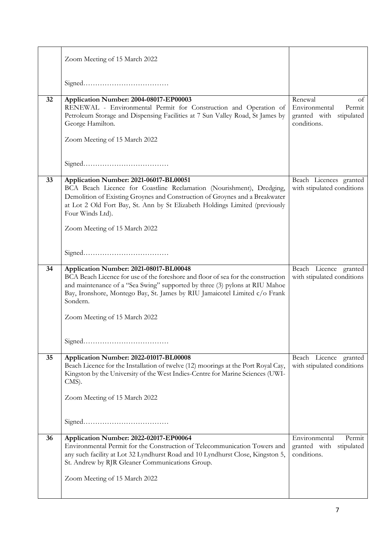|    | Zoom Meeting of 15 March 2022                                                                                                                                                                                                                                                                                                        |                                                                                    |
|----|--------------------------------------------------------------------------------------------------------------------------------------------------------------------------------------------------------------------------------------------------------------------------------------------------------------------------------------|------------------------------------------------------------------------------------|
|    |                                                                                                                                                                                                                                                                                                                                      |                                                                                    |
| 32 | Application Number: 2004-08017-EP00003<br>RENEWAL - Environmental Permit for Construction and Operation of<br>Petroleum Storage and Dispensing Facilities at 7 Sun Valley Road, St James by<br>George Hamilton.<br>Zoom Meeting of 15 March 2022                                                                                     | Renewal<br>οt<br>Environmental<br>Permit<br>granted with stipulated<br>conditions. |
| 33 | Application Number: 2021-06017-BL00051<br>BCA Beach Licence for Coastline Reclamation (Nourishment), Dredging,<br>Demolition of Existing Groynes and Construction of Groynes and a Breakwater<br>at Lot 2 Old Fort Bay, St. Ann by St Elizabeth Holdings Limited (previously<br>Four Winds Ltd).<br>Zoom Meeting of 15 March 2022    | Beach Licences granted<br>with stipulated conditions                               |
| 34 | Application Number: 2021-08017-BL00048<br>BCA Beach Licence for use of the foreshore and floor of sea for the construction<br>and maintenance of a "Sea Swing" supported by three (3) pylons at RIU Mahoe<br>Bay, Ironshore, Montego Bay, St. James by RIU Jamaicotel Limited c/o Frank<br>Sondern.<br>Zoom Meeting of 15 March 2022 | Beach Licence granted<br>with stipulated conditions                                |
| 35 | Application Number: 2022-01017-BL00008<br>Beach Licence for the Installation of twelve (12) moorings at the Port Royal Cay,<br>Kingston by the University of the West Indies-Centre for Marine Sciences (UWI-<br>CMS).<br>Zoom Meeting of 15 March 2022                                                                              | Beach Licence granted<br>with stipulated conditions                                |
| 36 | Application Number: 2022-02017-EP00064<br>Environmental Permit for the Construction of Telecommunication Towers and<br>any such facility at Lot 32 Lyndhurst Road and 10 Lyndhurst Close, Kingston 5,<br>St. Andrew by RJR Gleaner Communications Group.<br>Zoom Meeting of 15 March 2022                                            | Environmental<br>Permit<br>granted with stipulated<br>conditions.                  |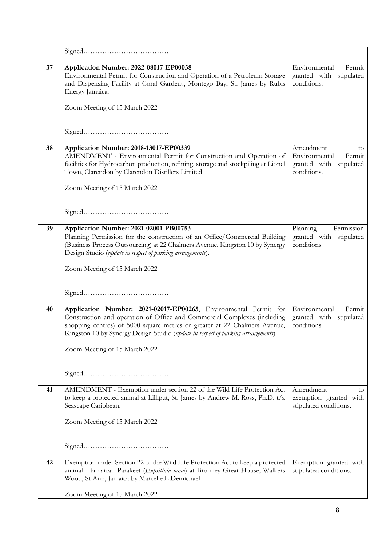| 37 | Application Number: 2022-08017-EP00038<br>Environmental Permit for Construction and Operation of a Petroleum Storage<br>and Dispensing Facility at Coral Gardens, Montego Bay, St. James by Rubis<br>Energy Jamaica.<br>Zoom Meeting of 15 March 2022                                                                                           | Environmental<br>Permit<br>granted with stipulated<br>conditions.                       |
|----|-------------------------------------------------------------------------------------------------------------------------------------------------------------------------------------------------------------------------------------------------------------------------------------------------------------------------------------------------|-----------------------------------------------------------------------------------------|
|    |                                                                                                                                                                                                                                                                                                                                                 |                                                                                         |
| 38 | Application Number: 2018-13017-EP00339<br>AMENDMENT - Environmental Permit for Construction and Operation of<br>facilities for Hydrocarbon production, refining, storage and stockpiling at Lionel<br>Town, Clarendon by Clarendon Distillers Limited<br>Zoom Meeting of 15 March 2022                                                          | Amendment<br>to<br>Environmental<br>Permit<br>granted with<br>stipulated<br>conditions. |
| 39 | Application Number: 2021-02001-PB00753<br>Planning Permission for the construction of an Office/Commercial Building<br>(Business Process Outsourcing) at 22 Chalmers Avenue, Kingston 10 by Synergy<br>Design Studio (update in respect of parking arrangements).<br>Zoom Meeting of 15 March 2022                                              | Planning<br>Permission<br>granted with stipulated<br>conditions                         |
| 40 | Application Number: 2021-02017-EP00265, Environmental Permit for<br>Construction and operation of Office and Commercial Complexes (including<br>shopping centres) of 5000 square metres or greater at 22 Chalmers Avenue,<br>Kingston 10 by Synergy Design Studio (update in respect of parking arrangements).<br>Zoom Meeting of 15 March 2022 | Environmental<br>Permit<br>granted with stipulated<br>conditions                        |
| 41 | AMENDMENT - Exemption under section 22 of the Wild Life Protection Act<br>to keep a protected animal at Lilliput, St. James by Andrew M. Ross, Ph.D. t/a<br>Seascape Caribbean.<br>Zoom Meeting of 15 March 2022                                                                                                                                | Amendment<br>to<br>exemption granted with<br>stipulated conditions.                     |
| 42 | Exemption under Section 22 of the Wild Life Protection Act to keep a protected<br>animal - Jamaican Parakeet (Eupsittula nana) at Bromley Great House, Walkers<br>Wood, St Ann, Jamaica by Marcelle L Demichael<br>Zoom Meeting of 15 March 2022                                                                                                | Exemption granted with<br>stipulated conditions.                                        |